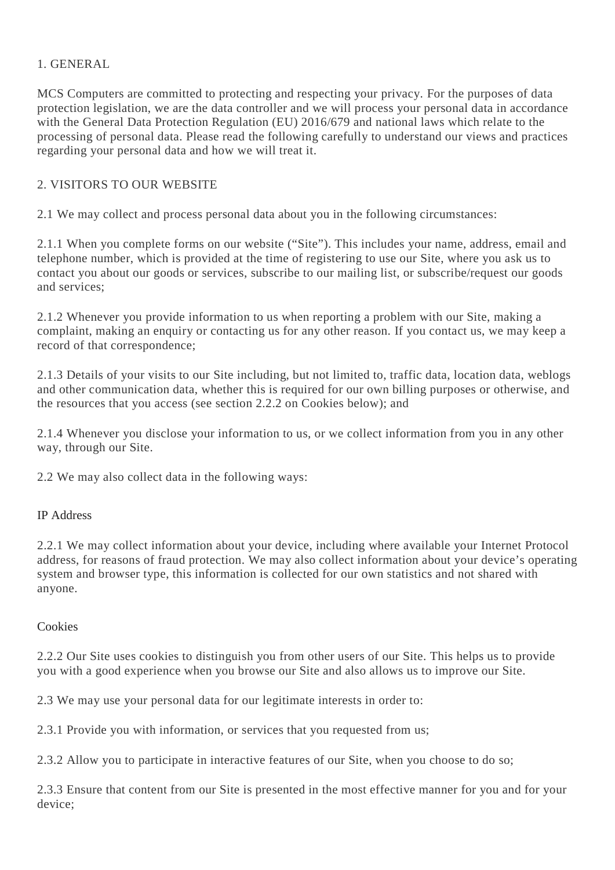### 1. GENERAL

MCS Computers are committed to protecting and respecting your privacy. For the purposes of data protection legislation, we are the data controller and we will process your personal data in accordance with the General Data Protection Regulation (EU) 2016/679 and national laws which relate to the processing of personal data. Please read the following carefully to understand our views and practices regarding your personal data and how we will treat it.

# 2. VISITORS TO OUR WEBSITE

2.1 We may collect and process personal data about you in the following circumstances:

2.1.1 When you complete forms on our website ("Site"). This includes your name, address, email and telephone number, which is provided at the time of registering to use our Site, where you ask us to contact you about our goods or services, subscribe to our mailing list, or subscribe/request our goods and services;

2.1.2 Whenever you provide information to us when reporting a problem with our Site, making a complaint, making an enquiry or contacting us for any other reason. If you contact us, we may keep a record of that correspondence;

2.1.3 Details of your visits to our Site including, but not limited to, traffic data, location data, weblogs and other communication data, whether this is required for our own billing purposes or otherwise, and the resources that you access (see section 2.2.2 on Cookies below); and

2.1.4 Whenever you disclose your information to us, or we collect information from you in any other way, through our Site.

2.2 We may also collect data in the following ways:

### IP Address

2.2.1 We may collect information about your device, including where available your Internet Protocol address, for reasons of fraud protection. We may also collect information about your device's operating system and browser type, this information is collected for our own statistics and not shared with anyone.

### **Cookies**

2.2.2 Our Site uses cookies to distinguish you from other users of our Site. This helps us to provide you with a good experience when you browse our Site and also allows us to improve our Site.

2.3 We may use your personal data for our legitimate interests in order to:

2.3.1 Provide you with information, or services that you requested from us;

2.3.2 Allow you to participate in interactive features of our Site, when you choose to do so;

2.3.3 Ensure that content from our Site is presented in the most effective manner for you and for your device;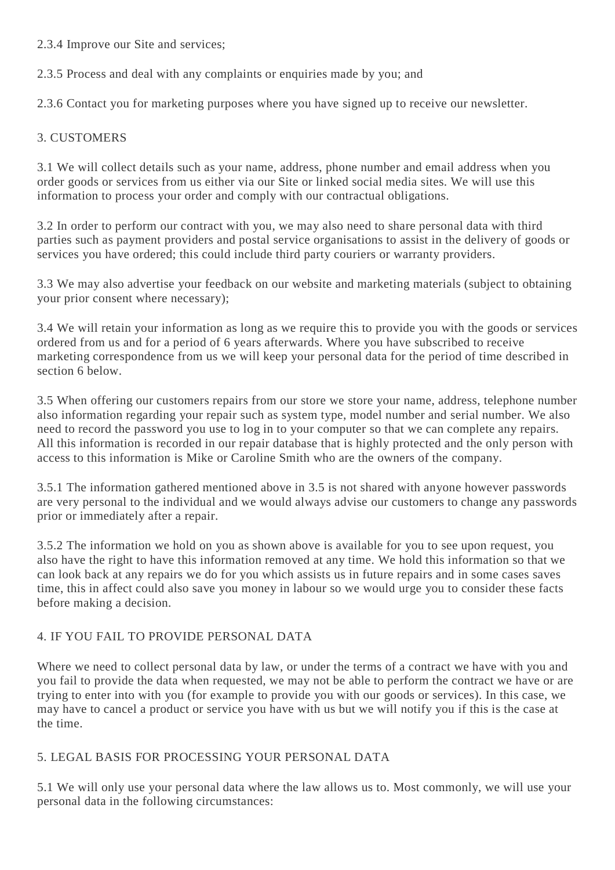2.3.4 Improve our Site and services;

2.3.5 Process and deal with any complaints or enquiries made by you; and

2.3.6 Contact you for marketing purposes where you have signed up to receive our newsletter.

### 3. CUSTOMERS

3.1 We will collect details such as your name, address, phone number and email address when you order goods or services from us either via our Site or linked social media sites. We will use this information to process your order and comply with our contractual obligations.

3.2 In order to perform our contract with you, we may also need to share personal data with third parties such as payment providers and postal service organisations to assist in the delivery of goods or services you have ordered; this could include third party couriers or warranty providers.

3.3 We may also advertise your feedback on our website and marketing materials (subject to obtaining your prior consent where necessary);

3.4 We will retain your information as long as we require this to provide you with the goods or services ordered from us and for a period of 6 years afterwards. Where you have subscribed to receive marketing correspondence from us we will keep your personal data for the period of time described in section 6 below.

3.5 When offering our customers repairs from our store we store your name, address, telephone number also information regarding your repair such as system type, model number and serial number. We also need to record the password you use to log in to your computer so that we can complete any repairs. All this information is recorded in our repair database that is highly protected and the only person with access to this information is Mike or Caroline Smith who are the owners of the company.

3.5.1 The information gathered mentioned above in 3.5 is not shared with anyone however passwords are very personal to the individual and we would always advise our customers to change any passwords prior or immediately after a repair.

3.5.2 The information we hold on you as shown above is available for you to see upon request, you also have the right to have this information removed at any time. We hold this information so that we can look back at any repairs we do for you which assists us in future repairs and in some cases saves time, this in affect could also save you money in labour so we would urge you to consider these facts before making a decision.

# 4. IF YOU FAIL TO PROVIDE PERSONAL DATA

Where we need to collect personal data by law, or under the terms of a contract we have with you and you fail to provide the data when requested, we may not be able to perform the contract we have or are trying to enter into with you (for example to provide you with our goods or services). In this case, we may have to cancel a product or service you have with us but we will notify you if this is the case at the time.

### 5. LEGAL BASIS FOR PROCESSING YOUR PERSONAL DATA

5.1 We will only use your personal data where the law allows us to. Most commonly, we will use your personal data in the following circumstances: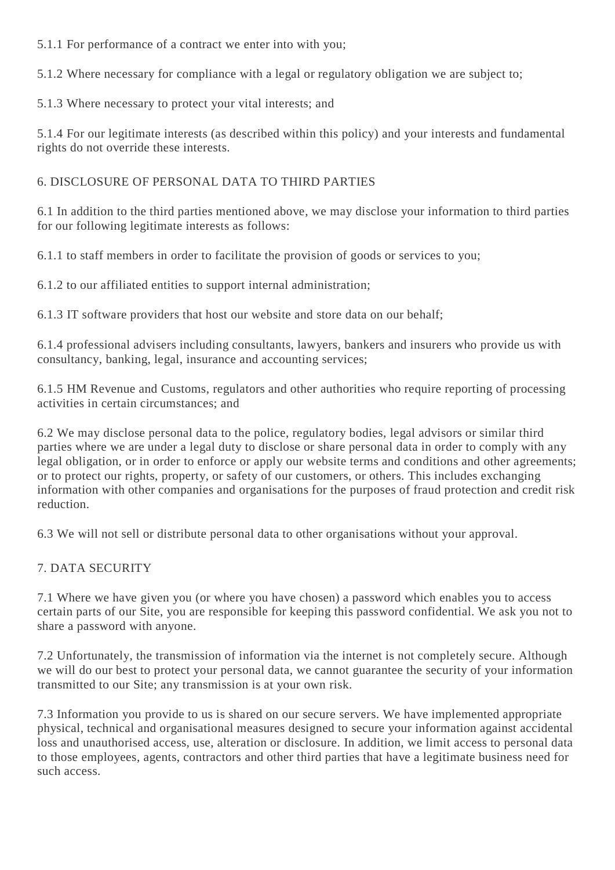5.1.1 For performance of a contract we enter into with you;

5.1.2 Where necessary for compliance with a legal or regulatory obligation we are subject to;

5.1.3 Where necessary to protect your vital interests; and

5.1.4 For our legitimate interests (as described within this policy) and your interests and fundamental rights do not override these interests.

# 6. DISCLOSURE OF PERSONAL DATA TO THIRD PARTIES

6.1 In addition to the third parties mentioned above, we may disclose your information to third parties for our following legitimate interests as follows:

6.1.1 to staff members in order to facilitate the provision of goods or services to you;

6.1.2 to our affiliated entities to support internal administration;

6.1.3 IT software providers that host our website and store data on our behalf;

6.1.4 professional advisers including consultants, lawyers, bankers and insurers who provide us with consultancy, banking, legal, insurance and accounting services;

6.1.5 HM Revenue and Customs, regulators and other authorities who require reporting of processing activities in certain circumstances; and

6.2 We may disclose personal data to the police, regulatory bodies, legal advisors or similar third parties where we are under a legal duty to disclose or share personal data in order to comply with any legal obligation, or in order to enforce or apply our website terms and conditions and other agreements; or to protect our rights, property, or safety of our customers, or others. This includes exchanging information with other companies and organisations for the purposes of fraud protection and credit risk reduction.

6.3 We will not sell or distribute personal data to other organisations without your approval.

# 7. DATA SECURITY

7.1 Where we have given you (or where you have chosen) a password which enables you to access certain parts of our Site, you are responsible for keeping this password confidential. We ask you not to share a password with anyone.

7.2 Unfortunately, the transmission of information via the internet is not completely secure. Although we will do our best to protect your personal data, we cannot guarantee the security of your information transmitted to our Site; any transmission is at your own risk.

7.3 Information you provide to us is shared on our secure servers. We have implemented appropriate physical, technical and organisational measures designed to secure your information against accidental loss and unauthorised access, use, alteration or disclosure. In addition, we limit access to personal data to those employees, agents, contractors and other third parties that have a legitimate business need for such access.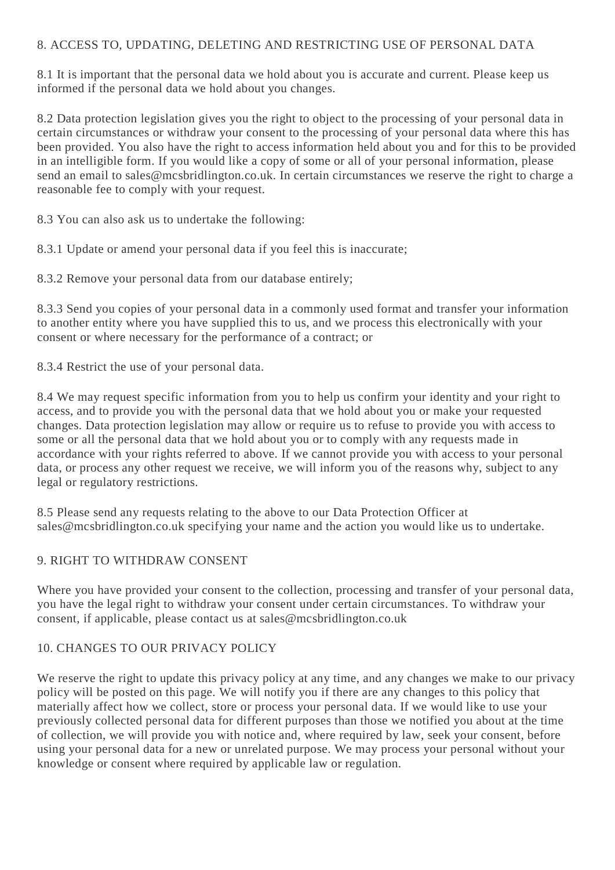#### 8. ACCESS TO, UPDATING, DELETING AND RESTRICTING USE OF PERSONAL DATA

8.1 It is important that the personal data we hold about you is accurate and current. Please keep us informed if the personal data we hold about you changes.

8.2 Data protection legislation gives you the right to object to the processing of your personal data in certain circumstances or withdraw your consent to the processing of your personal data where this has been provided. You also have the right to access information held about you and for this to be provided in an intelligible form. If you would like a copy of some or all of your personal information, please send an email to sales@mcsbridlington.co.uk. In certain circumstances we reserve the right to charge a reasonable fee to comply with your request.

8.3 You can also ask us to undertake the following:

8.3.1 Update or amend your personal data if you feel this is inaccurate;

8.3.2 Remove your personal data from our database entirely;

8.3.3 Send you copies of your personal data in a commonly used format and transfer your information to another entity where you have supplied this to us, and we process this electronically with your consent or where necessary for the performance of a contract; or

8.3.4 Restrict the use of your personal data.

8.4 We may request specific information from you to help us confirm your identity and your right to access, and to provide you with the personal data that we hold about you or make your requested changes. Data protection legislation may allow or require us to refuse to provide you with access to some or all the personal data that we hold about you or to comply with any requests made in accordance with your rights referred to above. If we cannot provide you with access to your personal data, or process any other request we receive, we will inform you of the reasons why, subject to any legal or regulatory restrictions.

8.5 Please send any requests relating to the above to our Data Protection Officer at sales@mcsbridlington.co.uk specifying your name and the action you would like us to undertake.

### 9. RIGHT TO WITHDRAW CONSENT

Where you have provided your consent to the collection, processing and transfer of your personal data, you have the legal right to withdraw your consent under certain circumstances. To withdraw your consent, if applicable, please contact us at sales@mcsbridlington.co.uk

### 10. CHANGES TO OUR PRIVACY POLICY

We reserve the right to update this privacy policy at any time, and any changes we make to our privacy policy will be posted on this page. We will notify you if there are any changes to this policy that materially affect how we collect, store or process your personal data. If we would like to use your previously collected personal data for different purposes than those we notified you about at the time of collection, we will provide you with notice and, where required by law, seek your consent, before using your personal data for a new or unrelated purpose. We may process your personal without your knowledge or consent where required by applicable law or regulation.